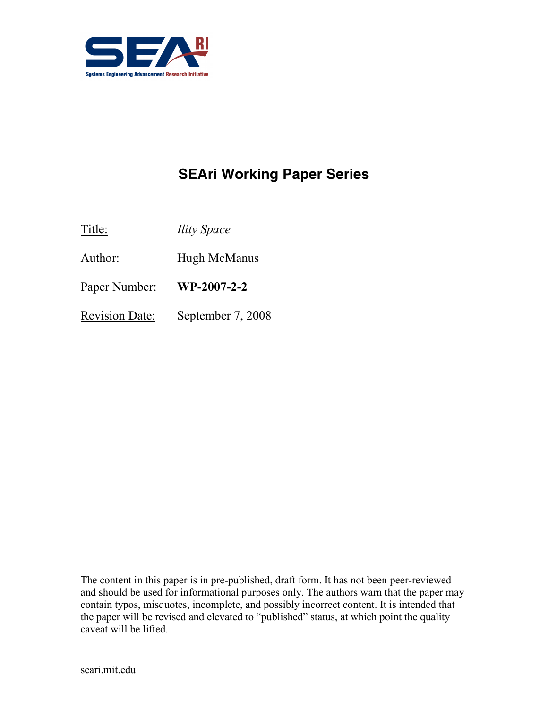

# SEAri Working Paper Series

Title: *Ility Space* 

Author: Hugh McManus

Paper Number: WP-2007-2-2

Revision Date: September 7, 2008

The content in this paper is in pre-published, draft form. It has not been peer-reviewed and should be used for informational purposes only. The authors warn that the paper may contain typos, misquotes, incomplete, and possibly incorrect content. It is intended that the paper will be revised and elevated to "published" status, at which point the quality caveat will be lifted.

seari.mit.edu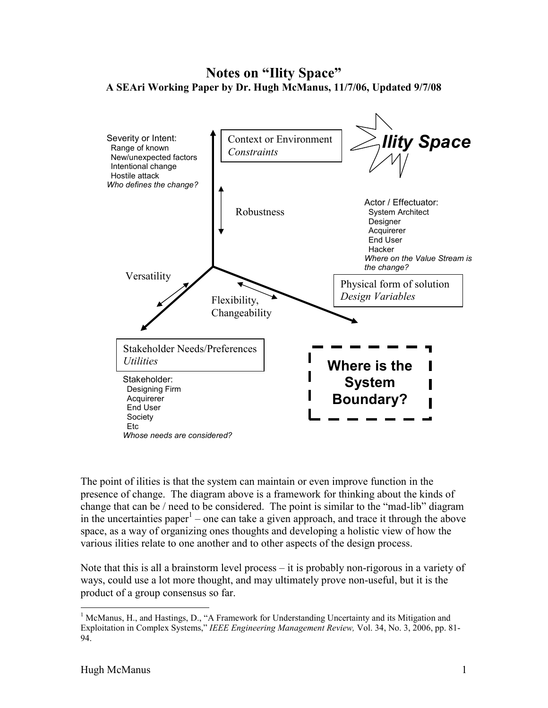## Notes on "Ility Space" A SEAri Working Paper by Dr. Hugh McManus, 11/7/06, Updated 9/7/08



The point of ilities is that the system can maintain or even improve function in the presence of change. The diagram above is a framework for thinking about the kinds of change that can be / need to be considered. The point is similar to the "mad-lib" diagram in the uncertainties paper<sup>1</sup> – one can take a given approach, and trace it through the above space, as a way of organizing ones thoughts and developing a holistic view of how the various ilities relate to one another and to other aspects of the design process.

Note that this is all a brainstorm level process – it is probably non-rigorous in a variety of ways, could use a lot more thought, and may ultimately prove non-useful, but it is the product of a group consensus so far.

 $\overline{a}$ 

<sup>&</sup>lt;sup>1</sup> McManus, H., and Hastings, D., "A Framework for Understanding Uncertainty and its Mitigation and Exploitation in Complex Systems," IEEE Engineering Management Review, Vol. 34, No. 3, 2006, pp. 81- 94.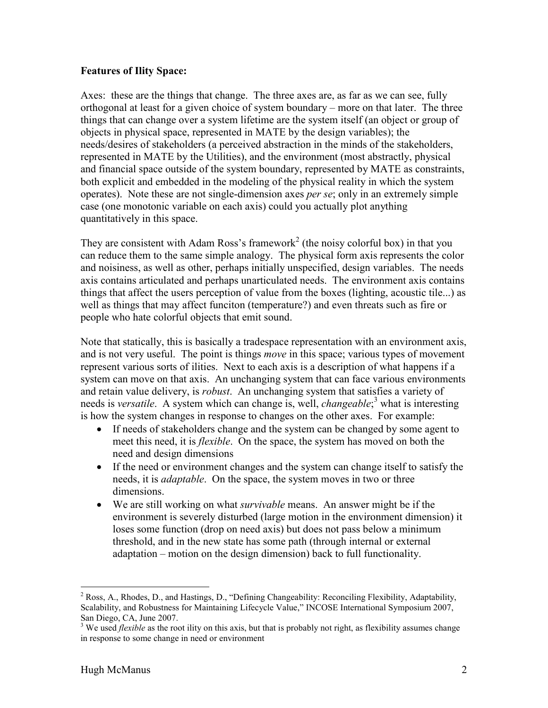#### Features of Ility Space:

Axes: these are the things that change. The three axes are, as far as we can see, fully orthogonal at least for a given choice of system boundary – more on that later. The three things that can change over a system lifetime are the system itself (an object or group of objects in physical space, represented in MATE by the design variables); the needs/desires of stakeholders (a perceived abstraction in the minds of the stakeholders, represented in MATE by the Utilities), and the environment (most abstractly, physical and financial space outside of the system boundary, represented by MATE as constraints, both explicit and embedded in the modeling of the physical reality in which the system operates). Note these are not single-dimension axes per se; only in an extremely simple case (one monotonic variable on each axis) could you actually plot anything quantitatively in this space.

They are consistent with Adam Ross's framework<sup>2</sup> (the noisy colorful box) in that you can reduce them to the same simple analogy. The physical form axis represents the color and noisiness, as well as other, perhaps initially unspecified, design variables. The needs axis contains articulated and perhaps unarticulated needs. The environment axis contains things that affect the users perception of value from the boxes (lighting, acoustic tile...) as well as things that may affect funciton (temperature?) and even threats such as fire or people who hate colorful objects that emit sound.

Note that statically, this is basically a tradespace representation with an environment axis, and is not very useful. The point is things *move* in this space; various types of movement represent various sorts of ilities. Next to each axis is a description of what happens if a system can move on that axis. An unchanging system that can face various environments and retain value delivery, is *robust*. An unchanging system that satisfies a variety of needs is versatile. A system which can change is, well, *changeable*;<sup>3</sup> what is interesting is how the system changes in response to changes on the other axes. For example:

- If needs of stakeholders change and the system can be changed by some agent to meet this need, it is *flexible*. On the space, the system has moved on both the need and design dimensions
- If the need or environment changes and the system can change itself to satisfy the needs, it is adaptable. On the space, the system moves in two or three dimensions.
- We are still working on what *survivable* means. An answer might be if the environment is severely disturbed (large motion in the environment dimension) it loses some function (drop on need axis) but does not pass below a minimum threshold, and in the new state has some path (through internal or external adaptation – motion on the design dimension) back to full functionality.

<sup>&</sup>lt;sup>2</sup> Ross, A., Rhodes, D., and Hastings, D., "Defining Changeability: Reconciling Flexibility, Adaptability, Scalability, and Robustness for Maintaining Lifecycle Value," INCOSE International Symposium 2007,

San Diego, CA, June 2007.<br><sup>3</sup> We used *flexible* as the root ility on this axis, but that is probably not right, as flexibility assumes change in response to some change in need or environment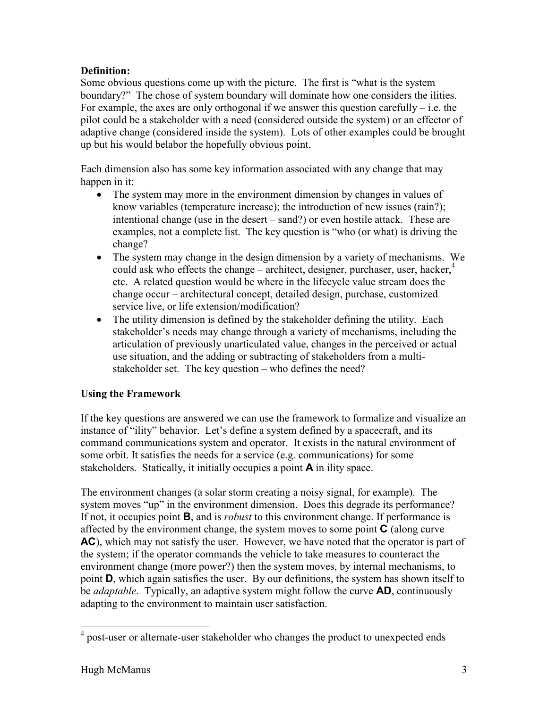## Definition:

Some obvious questions come up with the picture. The first is "what is the system boundary?" The chose of system boundary will dominate how one considers the ilities. For example, the axes are only orthogonal if we answer this question carefully – i.e. the pilot could be a stakeholder with a need (considered outside the system) or an effector of adaptive change (considered inside the system). Lots of other examples could be brought up but his would belabor the hopefully obvious point.

Each dimension also has some key information associated with any change that may happen in it:

- The system may more in the environment dimension by changes in values of know variables (temperature increase); the introduction of new issues (rain?); intentional change (use in the desert – sand?) or even hostile attack. These are examples, not a complete list. The key question is "who (or what) is driving the change?
- The system may change in the design dimension by a variety of mechanisms. We could ask who effects the change – architect, designer, purchaser, user, hacker, $4\overline{4}$ etc. A related question would be where in the lifecycle value stream does the change occur – architectural concept, detailed design, purchase, customized service live, or life extension/modification?
- The utility dimension is defined by the stakeholder defining the utility. Each stakeholder's needs may change through a variety of mechanisms, including the articulation of previously unarticulated value, changes in the perceived or actual use situation, and the adding or subtracting of stakeholders from a multistakeholder set. The key question – who defines the need?

## Using the Framework

If the key questions are answered we can use the framework to formalize and visualize an instance of "ility" behavior. Let's define a system defined by a spacecraft, and its command communications system and operator. It exists in the natural environment of some orbit. It satisfies the needs for a service (e.g. communications) for some stakeholders. Statically, it initially occupies a point A in ility space.

The environment changes (a solar storm creating a noisy signal, for example). The system moves "up" in the environment dimension. Does this degrade its performance? If not, it occupies point **B**, and is *robust* to this environment change. If performance is affected by the environment change, the system moves to some point  $\bf{C}$  (along curve AC), which may not satisfy the user. However, we have noted that the operator is part of the system; if the operator commands the vehicle to take measures to counteract the environment change (more power?) then the system moves, by internal mechanisms, to point D, which again satisfies the user. By our definitions, the system has shown itself to be *adaptable*. Typically, an adaptive system might follow the curve **AD**, continuously adapting to the environment to maintain user satisfaction.

 4 post-user or alternate-user stakeholder who changes the product to unexpected ends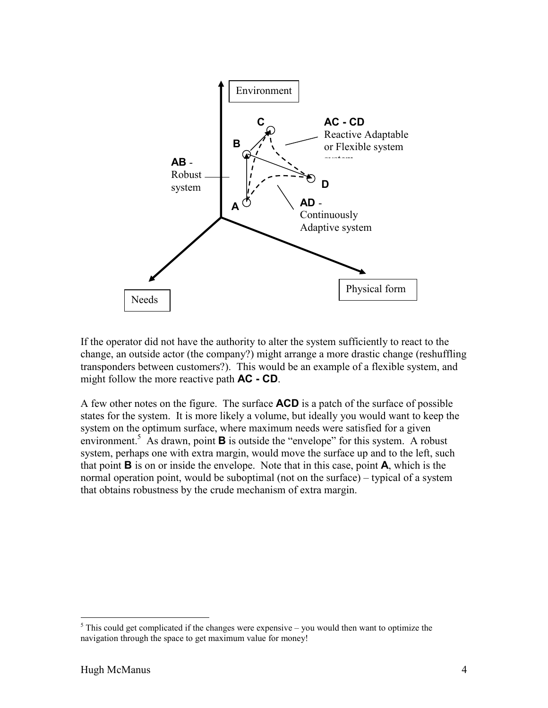

If the operator did not have the authority to alter the system sufficiently to react to the change, an outside actor (the company?) might arrange a more drastic change (reshuffling transponders between customers?). This would be an example of a flexible system, and might follow the more reactive path **AC - CD**.

A few other notes on the figure. The surface **ACD** is a patch of the surface of possible states for the system. It is more likely a volume, but ideally you would want to keep the system on the optimum surface, where maximum needs were satisfied for a given environment.<sup>5</sup> As drawn, point  $\bf{B}$  is outside the "envelope" for this system. A robust system, perhaps one with extra margin, would move the surface up and to the left, such that point  $\bf{B}$  is on or inside the envelope. Note that in this case, point  $\bf{A}$ , which is the normal operation point, would be suboptimal (not on the surface) – typical of a system that obtains robustness by the crude mechanism of extra margin.

<sup>&</sup>lt;sup>5</sup> This could get complicated if the changes were expensive – you would then want to optimize the navigation through the space to get maximum value for money!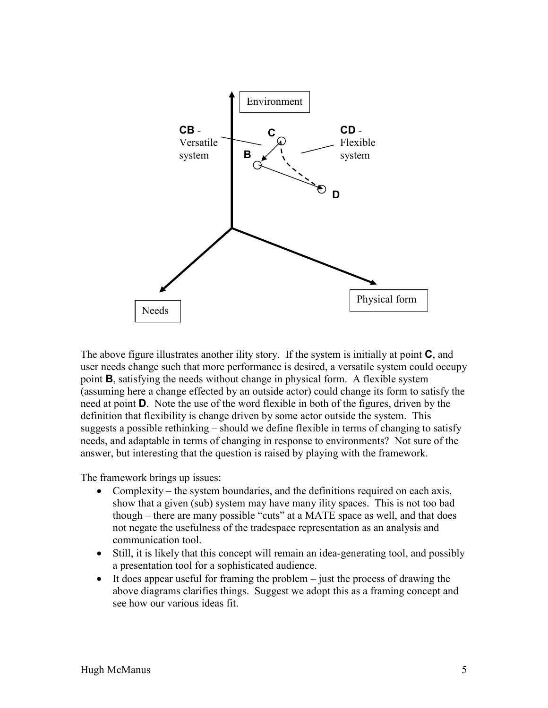

The above figure illustrates another ility story. If the system is initially at point **C**, and user needs change such that more performance is desired, a versatile system could occupy point B, satisfying the needs without change in physical form. A flexible system (assuming here a change effected by an outside actor) could change its form to satisfy the need at point D. Note the use of the word flexible in both of the figures, driven by the definition that flexibility is change driven by some actor outside the system. This suggests a possible rethinking – should we define flexible in terms of changing to satisfy needs, and adaptable in terms of changing in response to environments? Not sure of the answer, but interesting that the question is raised by playing with the framework.

The framework brings up issues:

- Complexity the system boundaries, and the definitions required on each axis, show that a given (sub) system may have many ility spaces. This is not too bad though – there are many possible "cuts" at a MATE space as well, and that does not negate the usefulness of the tradespace representation as an analysis and communication tool.
- Still, it is likely that this concept will remain an idea-generating tool, and possibly a presentation tool for a sophisticated audience.
- $\bullet$  It does appear useful for framing the problem just the process of drawing the above diagrams clarifies things. Suggest we adopt this as a framing concept and see how our various ideas fit.